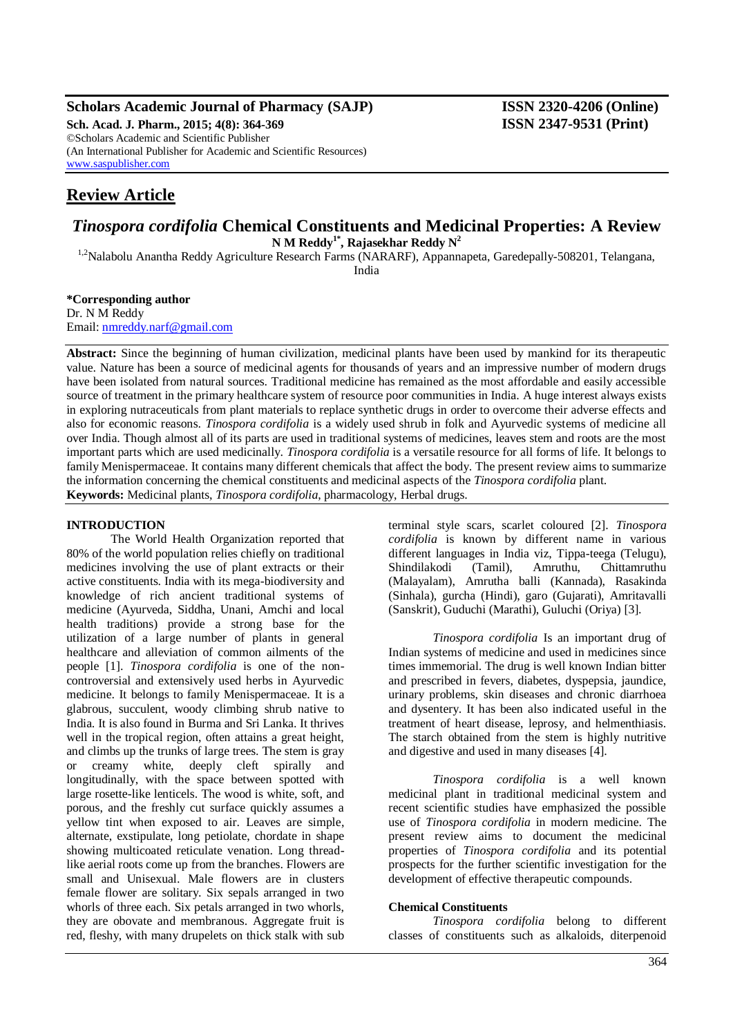#### **Scholars Academic Journal of Pharmacy (SAJP) ISSN 2320-4206 (Online) Sch. Acad. J. Pharm., 2015; 4(8): 364-369 ISSN 2347-9531 (Print)** ©Scholars Academic and Scientific Publisher (An International Publisher for Academic and Scientific Resources) [www.saspublisher.com](http://www.saspublisher.com/)

# **Review Article**

# *Tinospora cordifolia* **Chemical Constituents and Medicinal Properties: A Review N M Reddy1\*, Rajasekhar Reddy N<sup>2</sup>**

<sup>1,2</sup>Nalabolu Anantha Reddy Agriculture Research Farms (NARARF), Appannapeta, Garedepally-508201, Telangana, India

**\*Corresponding author** Dr. N M Reddy Email: [nmreddy.narf@gmail.com](mailto:nmreddy.narf@gmail.com)

**Abstract:** Since the beginning of human civilization, medicinal plants have been used by mankind for its therapeutic value. Nature has been a source of medicinal agents for thousands of years and an impressive number of modern drugs have been isolated from natural sources. Traditional medicine has remained as the most affordable and easily accessible source of treatment in the primary healthcare system of resource poor communities in India. A huge interest always exists in exploring nutraceuticals from plant materials to replace synthetic drugs in order to overcome their adverse effects and also for economic reasons. *Tinospora cordifolia* is a widely used shrub in folk and Ayurvedic systems of medicine all over India. Though almost all of its parts are used in traditional systems of medicines, leaves stem and roots are the most important parts which are used medicinally. *Tinospora cordifolia* is a versatile resource for all forms of life. It belongs to family Menispermaceae. It contains many different chemicals that affect the body. The present review aims to summarize the information concerning the chemical constituents and medicinal aspects of the *Tinospora cordifolia* plant. **Keywords:** Medicinal plants, *Tinospora cordifolia*, pharmacology, Herbal drugs.

### **INTRODUCTION**

The World Health Organization reported that 80% of the world population relies chiefly on traditional medicines involving the use of plant extracts or their active constituents. India with its mega-biodiversity and knowledge of rich ancient traditional systems of medicine (Ayurveda, Siddha, Unani, Amchi and local health traditions) provide a strong base for the utilization of a large number of plants in general healthcare and alleviation of common ailments of the people [1]. *Tinospora cordifolia* is one of the noncontroversial and extensively used herbs in Ayurvedic medicine. It belongs to family Menispermaceae. It is a glabrous, succulent, woody climbing shrub native to India. It is also found in Burma and Sri Lanka. It thrives well in the tropical region, often attains a great height, and climbs up the trunks of large trees. The stem is gray or creamy white, deeply cleft spirally and longitudinally, with the space between spotted with large rosette-like lenticels. The wood is white, soft, and porous, and the freshly cut surface quickly assumes a yellow tint when exposed to air. Leaves are simple, alternate, exstipulate, long petiolate, chordate in shape showing multicoated reticulate venation. Long threadlike aerial roots come up from the branches. Flowers are small and Unisexual. Male flowers are in clusters female flower are solitary. Six sepals arranged in two whorls of three each. Six petals arranged in two whorls, they are obovate and membranous. Aggregate fruit is red, fleshy, with many drupelets on thick stalk with sub

terminal style scars, scarlet coloured [2]. *Tinospora cordifolia* is known by different name in various different languages in India viz, Tippa-teega (Telugu), Shindilakodi (Tamil), Amruthu, Chittamruthu (Malayalam), Amrutha balli (Kannada), Rasakinda (Sinhala), gurcha (Hindi), garo (Gujarati), Amritavalli (Sanskrit), Guduchi (Marathi), Guluchi (Oriya) [3].

*Tinospora cordifolia* Is an important drug of Indian systems of medicine and used in medicines since times immemorial. The drug is well known Indian bitter and prescribed in fevers, diabetes, dyspepsia, jaundice, urinary problems, skin diseases and chronic diarrhoea and dysentery. It has been also indicated useful in the treatment of heart disease, leprosy, and helmenthiasis. The starch obtained from the stem is highly nutritive and digestive and used in many diseases [4].

*Tinospora cordifolia* is a well known medicinal plant in traditional medicinal system and recent scientific studies have emphasized the possible use of *Tinospora cordifolia* in modern medicine. The present review aims to document the medicinal properties of *Tinospora cordifolia* and its potential prospects for the further scientific investigation for the development of effective therapeutic compounds.

#### **Chemical Constituents**

*Tinospora cordifolia* belong to different classes of constituents such as alkaloids, diterpenoid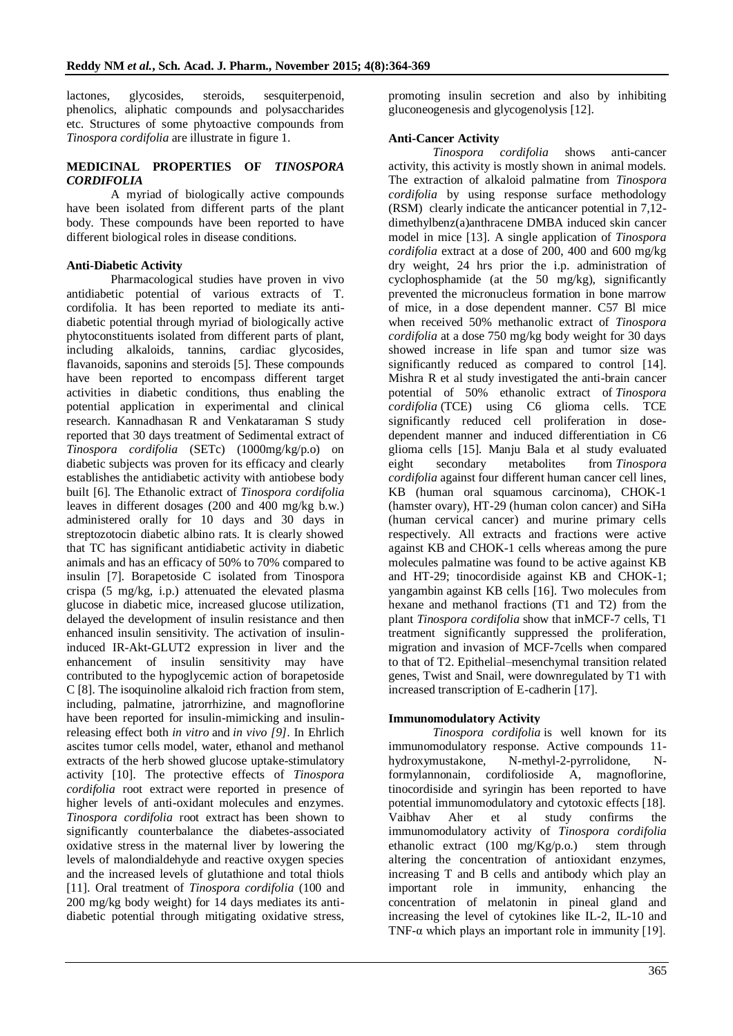lactones, glycosides, steroids, sesquiterpenoid, phenolics, aliphatic compounds and polysaccharides etc. Structures of some phytoactive compounds from *Tinospora cordifolia* are illustrate in figure 1.

#### **MEDICINAL PROPERTIES OF** *TINOSPORA CORDIFOLIA*

A myriad of biologically active compounds have been isolated from different parts of the plant body. These compounds have been reported to have different biological roles in disease conditions.

#### **Anti-Diabetic Activity**

Pharmacological studies have proven in vivo antidiabetic potential of various extracts of T. cordifolia. It has been reported to mediate its antidiabetic potential through myriad of biologically active phytoconstituents isolated from different parts of plant, including alkaloids, tannins, cardiac glycosides, flavanoids, saponins and steroids [5]. These compounds have been reported to encompass different target activities in diabetic conditions, thus enabling the potential application in experimental and clinical research. Kannadhasan R and Venkataraman S study reported that 30 days treatment of Sedimental extract of *Tinospora cordifolia* (SETc) (1000mg/kg/p.o) on diabetic subjects was proven for its efficacy and clearly establishes the antidiabetic activity with antiobese body built [6]. The Ethanolic extract of *Tinospora cordifolia* leaves in different dosages (200 and 400 mg/kg b.w.) administered orally for 10 days and 30 days in streptozotocin diabetic albino rats. It is clearly showed that TC has significant antidiabetic activity in diabetic animals and has an efficacy of 50% to 70% compared to insulin [7]. Borapetoside C isolated from Tinospora crispa (5 mg/kg, i.p.) attenuated the elevated plasma glucose in diabetic mice, increased glucose utilization, delayed the development of insulin resistance and then enhanced insulin sensitivity. The activation of insulininduced IR-Akt-GLUT2 expression in liver and the enhancement of insulin sensitivity may have contributed to the hypoglycemic action of borapetoside C [8]. The isoquinoline alkaloid rich fraction from stem, including, palmatine, jatrorrhizine, and magnoflorine have been reported for insulin-mimicking and insulinreleasing effect both *in vitro* and *in vivo [9]*. In Ehrlich ascites tumor cells model, water, ethanol and methanol extracts of the herb showed glucose uptake-stimulatory activity [10]. The protective effects of *Tinospora cordifolia* root extract were reported in presence of higher levels of anti-oxidant molecules and enzymes. *Tinospora cordifolia* root extract has been shown to significantly counterbalance the diabetes-associated oxidative stress in the maternal liver by lowering the levels of malondialdehyde and reactive oxygen species and the increased levels of glutathione and total thiols [11]. Oral treatment of *Tinospora cordifolia* (100 and 200 mg/kg body weight) for 14 days mediates its antidiabetic potential through mitigating oxidative stress,

promoting insulin secretion and also by inhibiting gluconeogenesis and glycogenolysis [12].

#### **Anti-Cancer Activity**

*Tinospora cordifolia* shows anti-cancer activity, this activity is mostly shown in animal models. The extraction of alkaloid palmatine from *Tinospora cordifolia* by using response surface methodology (RSM) clearly indicate the anticancer potential in 7,12 dimethylbenz(a)anthracene DMBA induced skin cancer model in mice [13]. A single application of *Tinospora cordifolia* extract at a dose of 200, 400 and 600 mg/kg dry weight, 24 hrs prior the i.p. administration of cyclophosphamide (at the  $50 \text{ mg/kg}$ ), significantly prevented the micronucleus formation in bone marrow of mice, in a dose dependent manner. C57 Bl mice when received 50% methanolic extract of *Tinospora cordifolia* at a dose 750 mg/kg body weight for 30 days showed increase in life span and tumor size was significantly reduced as compared to control [14]. Mishra R et al study investigated the anti-brain cancer potential of 50% ethanolic extract of *Tinospora cordifolia* (TCE) using C6 glioma cells. TCE significantly reduced cell proliferation in dosedependent manner and induced differentiation in C6 glioma cells [15]. Manju Bala et al study evaluated eight secondary metabolites from *Tinospora cordifolia* against four different human cancer cell lines, KB (human oral squamous carcinoma), CHOK-1 (hamster ovary), HT-29 (human colon cancer) and SiHa (human cervical cancer) and murine primary cells respectively. All extracts and fractions were active against KB and CHOK-1 cells whereas among the pure molecules palmatine was found to be active against KB and HT-29; tinocordiside against KB and CHOK-1; yangambin against KB cells [16]. Two molecules from hexane and methanol fractions (T1 and T2) from the plant *Tinospora cordifolia* show that inMCF-7 cells, T1 treatment significantly suppressed the proliferation, migration and invasion of MCF-7cells when compared to that of T2. Epithelial–mesenchymal transition related genes, Twist and Snail, were downregulated by T1 with increased transcription of E-cadherin [17].

#### **Immunomodulatory Activity**

*Tinospora cordifolia* is well known for its immunomodulatory response. Active compounds 11 hydroxymustakone, N-methyl-2-pyrrolidone, Nformylannonain, cordifolioside A, magnoflorine, tinocordiside and syringin has been reported to have potential immunomodulatory and cytotoxic effects [18]. Vaibhav Aher et al study confirms the immunomodulatory activity of *Tinospora cordifolia* ethanolic extract (100 mg/Kg/p.o.) stem through altering the concentration of antioxidant enzymes, increasing T and B cells and antibody which play an important role in immunity, enhancing the concentration of melatonin in pineal gland and increasing the level of cytokines like IL-2, IL-10 and TNF- $\alpha$  which plays an important role in immunity [19].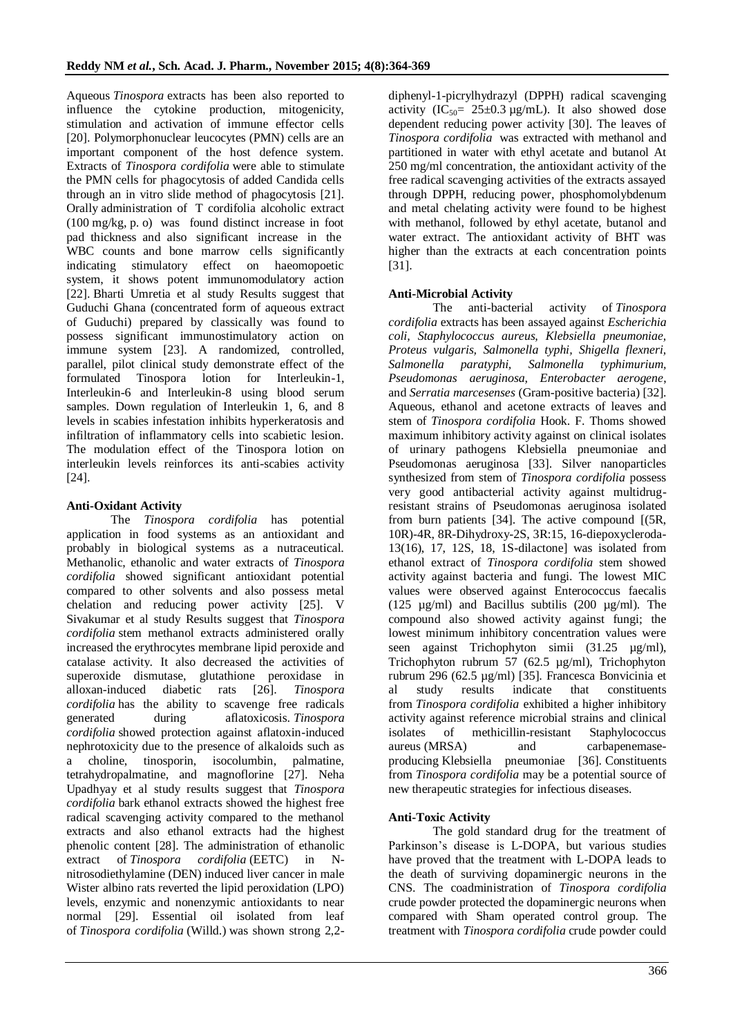Aqueous *Tinospora* extracts has been also reported to influence the cytokine production, mitogenicity, stimulation and activation of immune effector cells [20]. Polymorphonuclear leucocytes (PMN) cells are an important component of the host defence system. Extracts of *Tinospora cordifolia* were able to stimulate the PMN cells for phagocytosis of added Candida cells through an in vitro slide method of phagocytosis [21]. Orally administration of T cordifolia alcoholic extract (100 mg/kg, p. o) was found distinct increase in foot pad thickness and also significant increase in the WBC counts and bone marrow cells significantly indicating stimulatory effect on haeomopoetic system, it shows potent immunomodulatory action [22]. Bharti Umretia et al study Results suggest that Guduchi Ghana (concentrated form of aqueous extract of Guduchi) prepared by classically was found to possess significant immunostimulatory action on immune system [23]. A randomized, controlled, parallel, pilot clinical study demonstrate effect of the formulated Tinospora lotion for Interleukin-1, Interleukin-6 and Interleukin-8 using blood serum samples. Down regulation of Interleukin 1, 6, and 8 levels in scabies infestation inhibits hyperkeratosis and infiltration of inflammatory cells into scabietic lesion. The modulation effect of the Tinospora lotion on interleukin levels reinforces its anti-scabies activity [24].

## **Anti-Oxidant Activity**

The *Tinospora cordifolia* has potential application in food systems as an antioxidant and probably in biological systems as a nutraceutical. Methanolic, ethanolic and water extracts of *Tinospora cordifolia* showed significant antioxidant potential compared to other solvents and also possess metal chelation and reducing power activity [25]. V Sivakumar et al study Results suggest that *Tinospora cordifolia* stem methanol extracts administered orally increased the erythrocytes membrane lipid peroxide and catalase activity. It also decreased the activities of superoxide dismutase, glutathione peroxidase in alloxan-induced diabetic rats [26]. *Tinospora cordifolia* has the ability to scavenge free radicals generated during aflatoxicosis. *Tinospora cordifolia* showed protection against aflatoxin-induced nephrotoxicity due to the presence of alkaloids such as a choline, tinosporin, isocolumbin, palmatine, tetrahydropalmatine, and magnoflorine [27]. Neha Upadhyay et al study results suggest that *Tinospora cordifolia* bark ethanol extracts showed the highest free radical scavenging activity compared to the methanol extracts and also ethanol extracts had the highest phenolic content [28]. The administration of ethanolic extract of *Tinospora cordifolia* (EETC) in Nnitrosodiethylamine (DEN) induced liver cancer in male Wister albino rats reverted the lipid peroxidation (LPO) levels, enzymic and nonenzymic antioxidants to near normal [29]. Essential oil isolated from leaf of *Tinospora cordifolia* (Willd.) was shown strong 2,2diphenyl-1-picrylhydrazyl (DPPH) radical scavenging activity ( $IC_{50} = 25 \pm 0.3 \text{ µg/mL}$ ). It also showed dose dependent reducing power activity [30]. The leaves of *Tinospora cordifolia* was extracted with methanol and partitioned in water with ethyl acetate and butanol At 250 mg/ml concentration, the antioxidant activity of the free radical scavenging activities of the extracts assayed through DPPH, reducing power, phosphomolybdenum and metal chelating activity were found to be highest with methanol, followed by ethyl acetate, butanol and water extract. The antioxidant activity of BHT was higher than the extracts at each concentration points [31].

# **Anti-Microbial Activity**

The anti-bacterial activity of *Tinospora cordifolia* extracts has been assayed against *Escherichia coli, Staphylococcus aureus, Klebsiella pneumoniae, Proteus vulgaris, Salmonella typhi, Shigella flexneri, Salmonella paratyphi, Salmonella typhimurium, Pseudomonas aeruginosa, Enterobacter aerogene*, and *Serratia marcesenses* (Gram-positive bacteria) [32]. Aqueous, ethanol and acetone extracts of leaves and stem of *Tinospora cordifolia* Hook. F. Thoms showed maximum inhibitory activity against on clinical isolates of urinary pathogens Klebsiella pneumoniae and Pseudomonas aeruginosa [33]. Silver nanoparticles synthesized from stem of *Tinospora cordifolia* possess very good antibacterial activity against multidrugresistant strains of Pseudomonas aeruginosa isolated from burn patients [34]. The active compound [(5R, 10R)-4R, 8R-Dihydroxy-2S, 3R:15, 16-diepoxycleroda-13(16), 17, 12S, 18, 1S-dilactone] was isolated from ethanol extract of *Tinospora cordifolia* stem showed activity against bacteria and fungi. The lowest MIC values were observed against Enterococcus faecalis (125  $\mu$ g/ml) and Bacillus subtilis (200  $\mu$ g/ml). The compound also showed activity against fungi; the lowest minimum inhibitory concentration values were seen against Trichophyton simii (31.25 µg/ml), Trichophyton rubrum 57 (62.5 µg/ml), Trichophyton rubrum 296 (62.5 µg/ml) [35]. Francesca Bonvicinia et al study results indicate that constituents from *Tinospora cordifolia* exhibited a higher inhibitory activity against reference microbial strains and clinical isolates of methicillin-resistant Staphylococcus aureus (MRSA) and carbapenemaseproducing Klebsiella pneumoniae [36]. Constituents from *Tinospora cordifolia* may be a potential source of new therapeutic strategies for infectious diseases.

### **Anti-Toxic Activity**

The gold standard drug for the treatment of Parkinson's disease is L-DOPA, but various studies have proved that the treatment with L-DOPA leads to the death of surviving dopaminergic neurons in the CNS. The coadministration of *Tinospora cordifolia* crude powder protected the dopaminergic neurons when compared with Sham operated control group. The treatment with *Tinospora cordifolia* crude powder could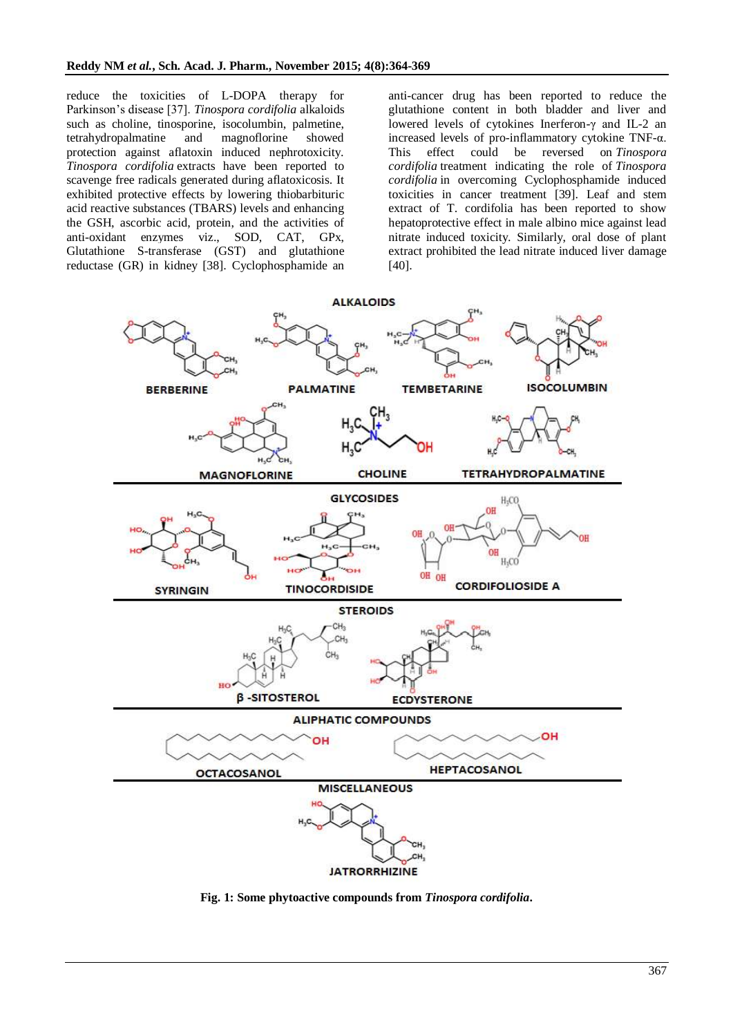reduce the toxicities of L-DOPA therapy for Parkinson's disease [37]. *Tinospora cordifolia* alkaloids such as choline, tinosporine, isocolumbin, palmetine, tetrahydropalmatine and magnoflorine showed protection against aflatoxin induced nephrotoxicity. *Tinospora cordifolia* extracts have been reported to scavenge free radicals generated during aflatoxicosis. It exhibited protective effects by lowering thiobarbituric acid reactive substances (TBARS) levels and enhancing the GSH, ascorbic acid, protein, and the activities of anti-oxidant enzymes viz., SOD, CAT, GPx, Glutathione S-transferase (GST) and glutathione reductase (GR) in kidney [38]. Cyclophosphamide an anti-cancer drug has been reported to reduce the glutathione content in both bladder and liver and lowered levels of cytokines Inerferon-γ and IL-2 an increased levels of pro-inflammatory cytokine TNF-α. This effect could be reversed on *Tinospora cordifolia* treatment indicating the role of *Tinospora cordifolia* in overcoming Cyclophosphamide induced toxicities in cancer treatment [39]. Leaf and stem extract of T. cordifolia has been reported to show hepatoprotective effect in male albino mice against lead nitrate induced toxicity. Similarly, oral dose of plant extract prohibited the lead nitrate induced liver damage [40].



**Fig. 1: Some phytoactive compounds from** *Tinospora cordifolia***.**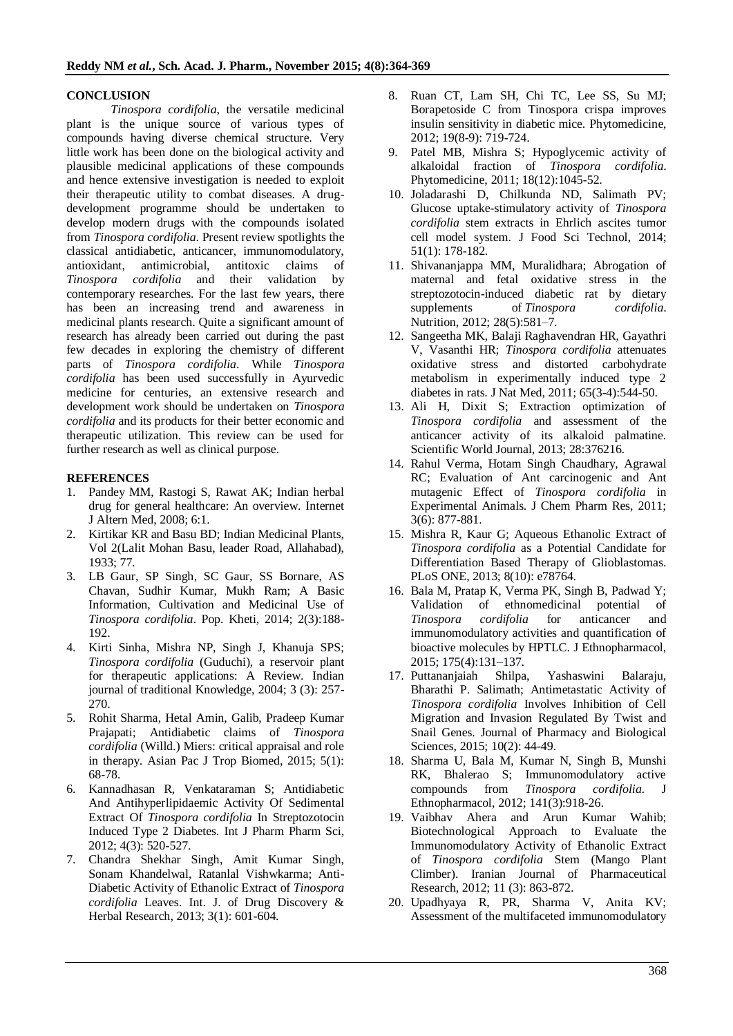#### **CONCLUSION**

*Tinospora cordifolia*, the versatile medicinal plant is the unique source of various types of compounds having diverse chemical structure. Very little work has been done on the biological activity and plausible medicinal applications of these compounds and hence extensive investigation is needed to exploit their therapeutic utility to combat diseases. A drugdevelopment programme should be undertaken to develop modern drugs with the compounds isolated from *Tinospora cordifolia*. Present review spotlights the classical antidiabetic, anticancer, immunomodulatory, antioxidant, antimicrobial, antitoxic claims of *Tinospora cordifolia* and their validation by contemporary researches. For the last few years, there has been an increasing trend and awareness in medicinal plants research. Quite a significant amount of research has already been carried out during the past few decades in exploring the chemistry of different parts of *Tinospora cordifolia*. While *Tinospora cordifolia* has been used successfully in Ayurvedic medicine for centuries, an extensive research and development work should be undertaken on *Tinospora cordifolia* and its products for their better economic and therapeutic utilization. This review can be used for further research as well as clinical purpose.

#### **REFERENCES**

- 1. Pandey MM, Rastogi S, Rawat AK; Indian herbal drug for general healthcare: An overview. Internet J Altern Med, 2008; 6:1.
- 2. Kirtikar KR and Basu BD; Indian Medicinal Plants, Vol 2(Lalit Mohan Basu, leader Road, Allahabad), 1933; 77.
- 3. LB Gaur, SP Singh, SC Gaur, SS Bornare, AS Chavan, Sudhir Kumar, Mukh Ram; A Basic Information, Cultivation and Medicinal Use of *Tinospora cordifolia*. Pop. Kheti, 2014; 2(3):188- 192.
- 4. Kirti Sinha, Mishra NP, Singh J, Khanuja SPS; *Tinospora cordifolia* (Guduchi), a reservoir plant for therapeutic applications: A Review. Indian journal of traditional Knowledge, 2004; 3 (3): 257- 270.
- 5. Rohit Sharma, Hetal Amin, Galib, Pradeep Kumar Prajapati; Antidiabetic claims of *Tinospora cordifolia* (Willd.) Miers: critical appraisal and role in therapy. Asian Pac J Trop Biomed, 2015; 5(1): 68-78.
- 6. Kannadhasan R, Venkataraman S; Antidiabetic And Antihyperlipidaemic Activity Of Sedimental Extract Of *Tinospora cordifolia* In Streptozotocin Induced Type 2 Diabetes. Int J Pharm Pharm Sci, 2012; 4(3): 520-527.
- 7. Chandra Shekhar Singh, Amit Kumar Singh, Sonam Khandelwal, Ratanlal Vishwkarma; Anti-Diabetic Activity of Ethanolic Extract of *Tinospora cordifolia* Leaves. Int. J. of Drug Discovery & Herbal Research, 2013; 3(1): 601-604.
- 8. Ruan CT, Lam SH, Chi TC, Lee SS, Su MJ; Borapetoside C from Tinospora crispa improves insulin sensitivity in diabetic mice. Phytomedicine, 2012; 19(8-9): 719-724.
- 9. Patel MB, Mishra S; Hypoglycemic activity of alkaloidal fraction of *Tinospora cordifolia*. Phytomedicine, 2011; 18(12):1045-52.
- 10. Joladarashi D, Chilkunda ND, Salimath PV; Glucose uptake-stimulatory activity of *Tinospora cordifolia* stem extracts in Ehrlich ascites tumor cell model system. J Food Sci Technol, 2014; 51(1): 178-182.
- 11. Shivananjappa MM, Muralidhara; Abrogation of maternal and fetal oxidative stress in the streptozotocin-induced diabetic rat by dietary supplements of *Tinospora cordifolia*. Nutrition, 2012; 28(5):581–7.
- 12. Sangeetha MK, Balaji Raghavendran HR, Gayathri V, Vasanthi HR; *Tinospora cordifolia* attenuates oxidative stress and distorted carbohydrate metabolism in experimentally induced type 2 diabetes in rats. J Nat Med, 2011; 65(3-4):544-50.
- 13. Ali H, Dixit S; Extraction optimization of *Tinospora cordifolia* and assessment of the anticancer activity of its alkaloid palmatine. Scientific World Journal, 2013; 28:376216.
- 14. Rahul Verma, Hotam Singh Chaudhary, Agrawal RC; Evaluation of Ant carcinogenic and Ant mutagenic Effect of *Tinospora cordifolia* in Experimental Animals. J Chem Pharm Res, 2011; 3(6): 877-881.
- 15. Mishra R, Kaur G; Aqueous Ethanolic Extract of *Tinospora cordifolia* as a Potential Candidate for Differentiation Based Therapy of Glioblastomas. PLoS ONE, 2013; 8(10): e78764.
- 16. Bala M, Pratap K, Verma PK, Singh B, Padwad Y; Validation of ethnomedicinal potential of *Tinospora cordifolia* for anticancer and immunomodulatory activities and quantification of bioactive molecules by HPTLC. J Ethnopharmacol, 2015; 175(4):131–137.
- 17. Puttananjaiah Shilpa, Yashaswini Balaraju, Bharathi P. Salimath; Antimetastatic Activity of *Tinospora cordifolia* Involves Inhibition of Cell Migration and Invasion Regulated By Twist and Snail Genes. Journal of Pharmacy and Biological Sciences, 2015; 10(2): 44-49.
- 18. Sharma U, Bala M, Kumar N, Singh B, Munshi RK, Bhalerao S; Immunomodulatory active compounds from *Tinospora cordifolia*. J Ethnopharmacol, 2012; 141(3):918-26.
- 19. Vaibhav Ahera and Arun Kumar Wahib; Biotechnological Approach to Evaluate the Immunomodulatory Activity of Ethanolic Extract of *Tinospora cordifolia* Stem (Mango Plant Climber). Iranian Journal of Pharmaceutical Research, 2012; 11 (3): 863-872.
- 20. Upadhyaya R, PR, Sharma V, Anita KV; Assessment of the multifaceted immunomodulatory